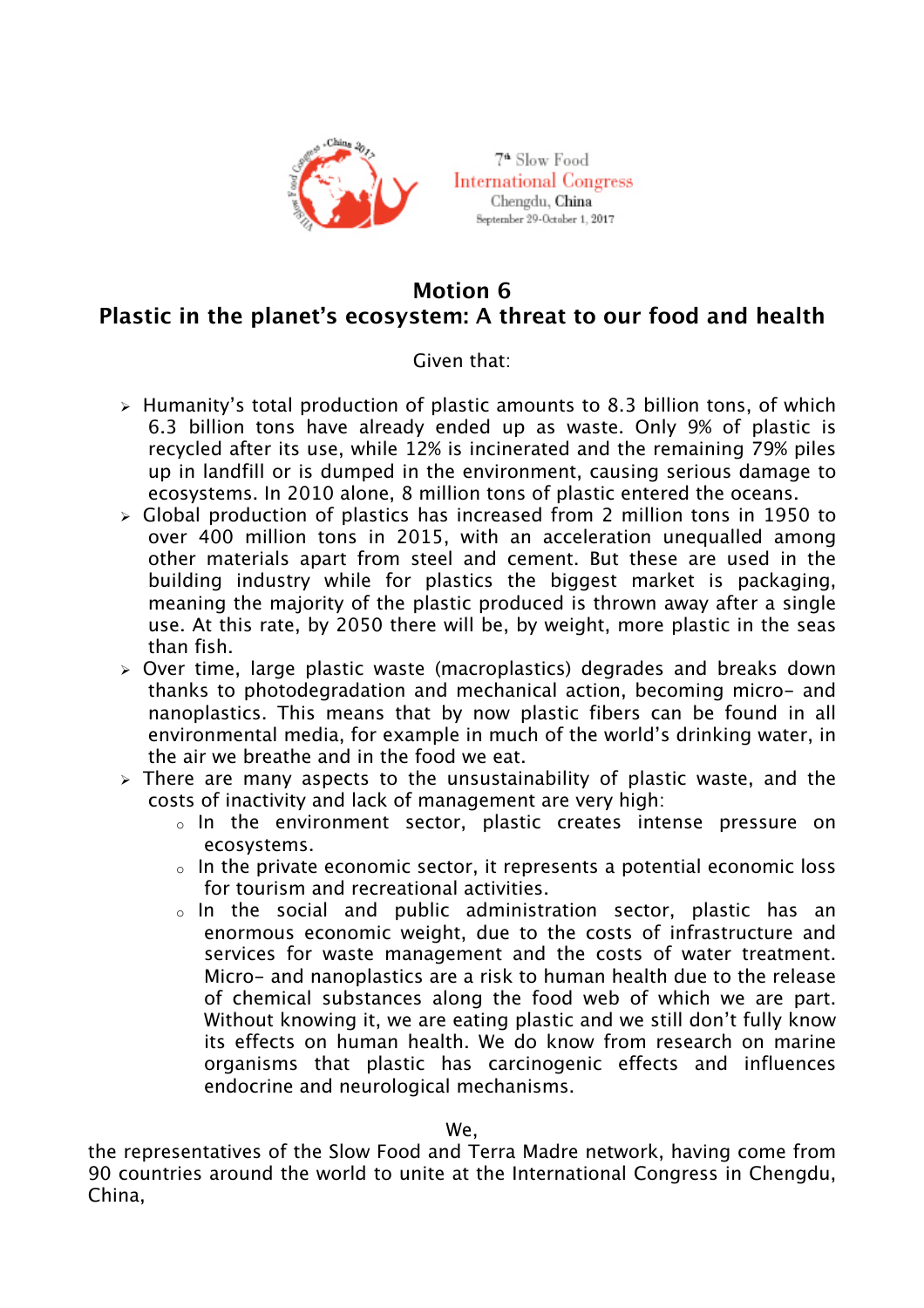

7<sup>4</sup> Slow Food **International Congress** Chengdu, China September 29-October 1, 2017

## **Motion 6 Plastic in the planet's ecosystem: A threat to our food and health**

## Given that:

- $\ge$  Humanity's total production of plastic amounts to 8.3 billion tons, of which 6.3 billion tons have already ended up as waste. Only 9% of plastic is recycled after its use, while 12% is incinerated and the remaining 79% piles up in landfill or is dumped in the environment, causing serious damage to ecosystems. In 2010 alone, 8 million tons of plastic entered the oceans.
- $\geq$  Global production of plastics has increased from 2 million tons in 1950 to over 400 million tons in 2015, with an acceleration unequalled among other materials apart from steel and cement. But these are used in the building industry while for plastics the biggest market is packaging, meaning the majority of the plastic produced is thrown away after a single use. At this rate, by 2050 there will be, by weight, more plastic in the seas than fish.
- $\geq$  Over time, large plastic waste (macroplastics) degrades and breaks down thanks to photodegradation and mechanical action, becoming micro- and nanoplastics. This means that by now plastic fibers can be found in all environmental media, for example in much of the world's drinking water, in the air we breathe and in the food we eat.
- $\ge$  There are many aspects to the unsustainability of plastic waste, and the costs of inactivity and lack of management are very high:
	- o In the environment sector, plastic creates intense pressure on ecosystems.
	- $\circ$  In the private economic sector, it represents a potential economic loss for tourism and recreational activities.
	- o In the social and public administration sector, plastic has an enormous economic weight, due to the costs of infrastructure and services for waste management and the costs of water treatment. Micro- and nanoplastics are a risk to human health due to the release of chemical substances along the food web of which we are part. Without knowing it, we are eating plastic and we still don't fully know its effects on human health. We do know from research on marine organisms that plastic has carcinogenic effects and influences endocrine and neurological mechanisms.

## We,

the representatives of the Slow Food and Terra Madre network, having come from 90 countries around the world to unite at the International Congress in Chengdu, China,